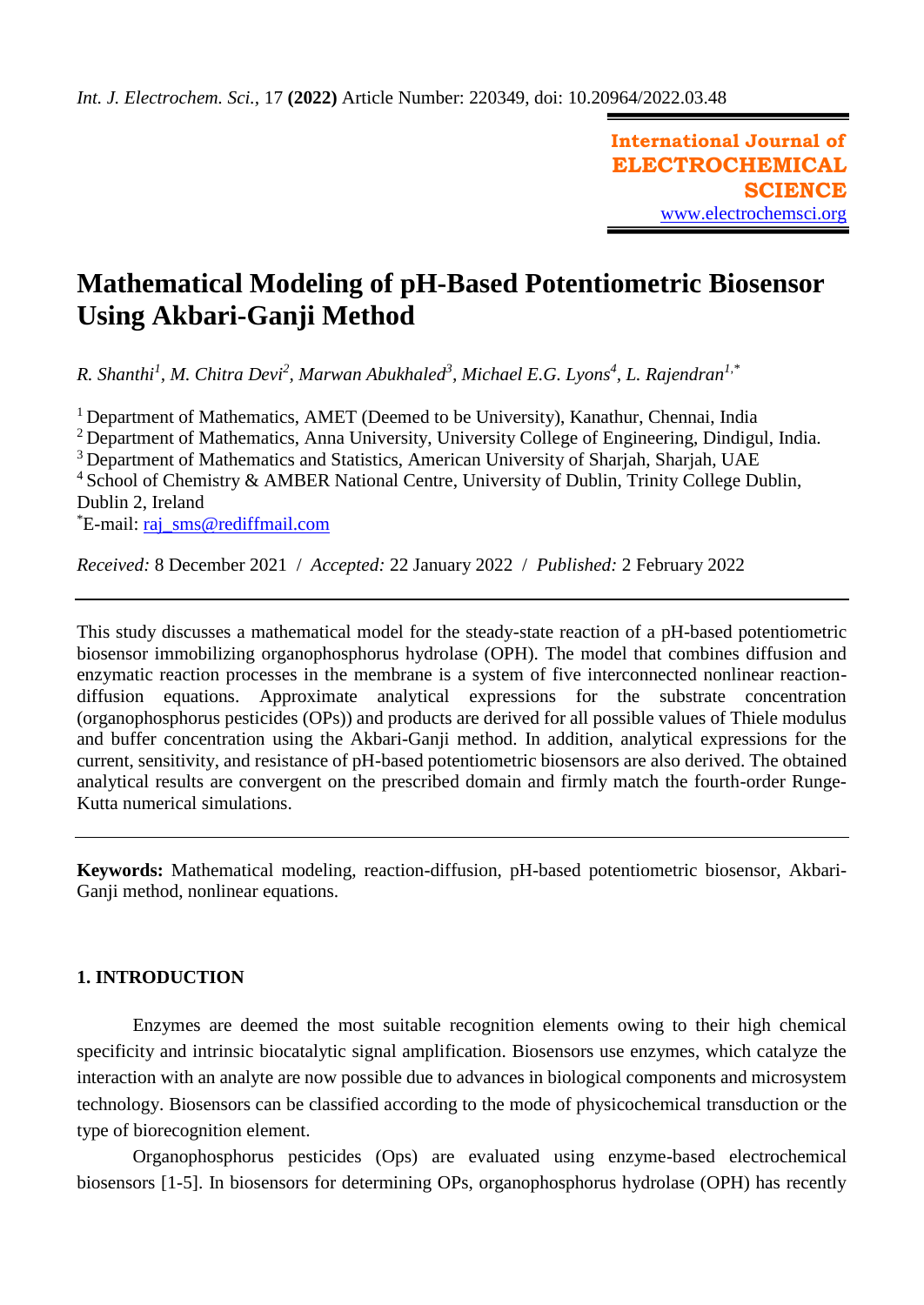**International Journal of ELECTROCHEMICAL SCIENCE** [www.electrochemsci.org](http://www.electrochemsci.org/)

# **Mathematical Modeling of pH-Based Potentiometric Biosensor Using Akbari-Ganji Method**

*R. Shanthi<sup>1</sup> , M. Chitra Devi<sup>2</sup> , Marwan Abukhaled<sup>3</sup> , Michael E.G. Lyons<sup>4</sup> , L. Rajendran1,\**

<sup>1</sup> Department of Mathematics, AMET (Deemed to be University), Kanathur, Chennai, India <sup>2</sup> Department of Mathematics, Anna University, University College of Engineering, Dindigul, India. <sup>3</sup> Department of Mathematics and Statistics, American University of Sharjah, Sharjah, UAE <sup>4</sup> School of Chemistry & AMBER National Centre, University of Dublin, Trinity College Dublin, Dublin 2, Ireland \*E-mail: [raj\\_sms@rediffmail.com](mailto:raj_sms@rediffmail.com)

*Received:* 8 December 2021/ *Accepted:* 22 January 2022 / *Published:* 2 February 2022

This study discusses a mathematical model for the steady-state reaction of a pH-based potentiometric biosensor immobilizing organophosphorus hydrolase (OPH). The model that combines diffusion and enzymatic reaction processes in the membrane is a system of five interconnected nonlinear reactiondiffusion equations. Approximate analytical expressions for the substrate concentration (organophosphorus pesticides (OPs)) and products are derived for all possible values of Thiele modulus and buffer concentration using the Akbari-Ganji method. In addition, analytical expressions for the current, sensitivity, and resistance of pH-based potentiometric biosensors are also derived. The obtained analytical results are convergent on the prescribed domain and firmly match the fourth-order Runge-Kutta numerical simulations.

**Keywords:** Mathematical modeling, reaction-diffusion, pH-based potentiometric biosensor, Akbari-Ganji method, nonlinear equations.

# **1. INTRODUCTION**

Enzymes are deemed the most suitable recognition elements owing to their high chemical specificity and intrinsic biocatalytic signal amplification. Biosensors use enzymes, which catalyze the interaction with an analyte are now possible due to advances in biological components and microsystem technology. Biosensors can be classified according to the mode of physicochemical transduction or the type of biorecognition element.

Organophosphorus pesticides (Ops) are evaluated using enzyme-based electrochemical biosensors [1-5]. In biosensors for determining OPs, organophosphorus hydrolase (OPH) has recently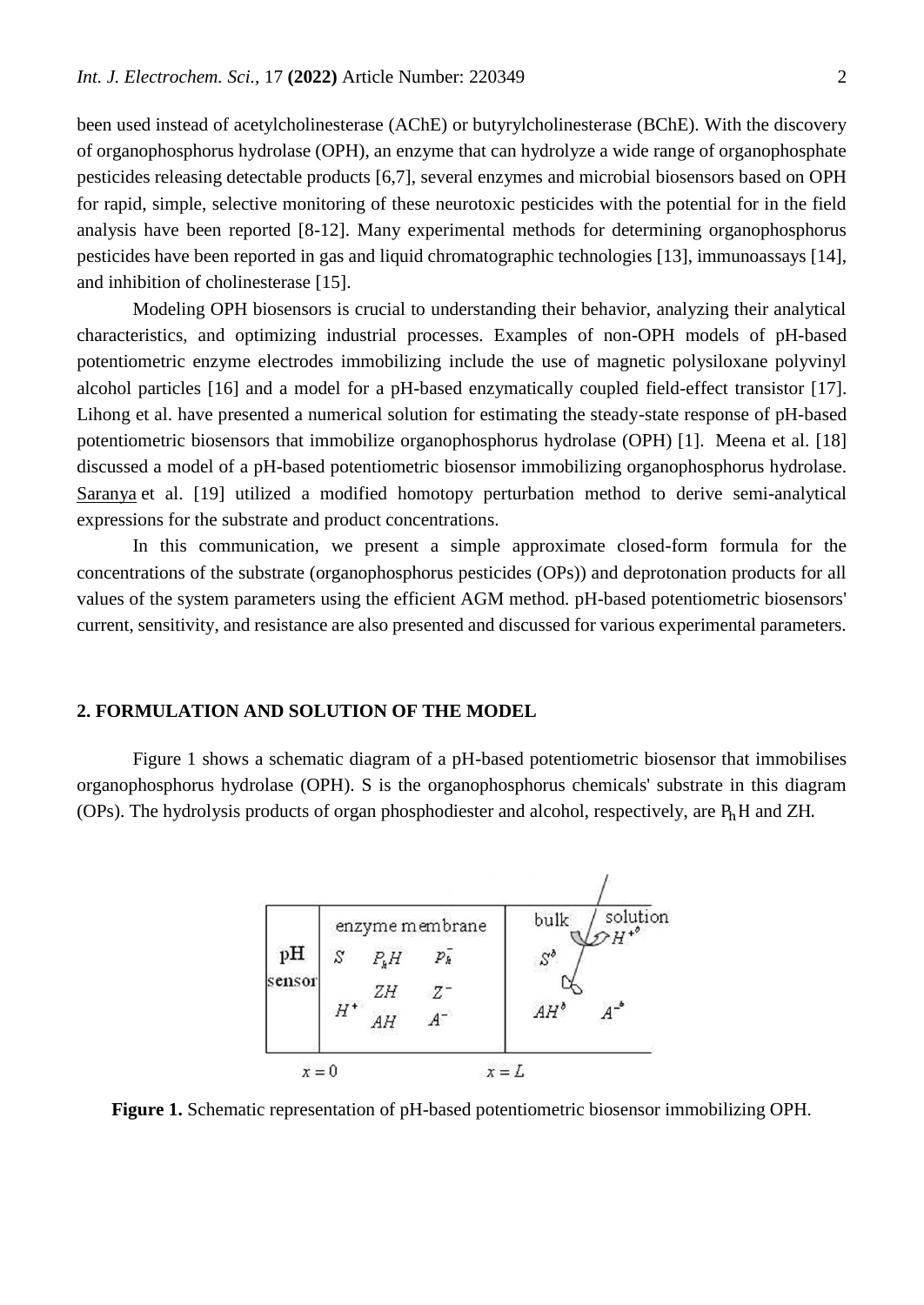been used instead of acetylcholinesterase (AChE) or butyrylcholinesterase (BChE). With the discovery of organophosphorus hydrolase (OPH), an enzyme that can hydrolyze a wide range of organophosphate pesticides releasing detectable products [6,7], several enzymes and microbial biosensors based on OPH for rapid, simple, selective monitoring of these neurotoxic pesticides with the potential for in the field analysis have been reported [8-12]. Many experimental methods for determining organophosphorus pesticides have been reported in gas and liquid chromatographic technologies [13], immunoassays [14], and inhibition of cholinesterase [15].

Modeling OPH biosensors is crucial to understanding their behavior, analyzing their analytical characteristics, and optimizing industrial processes. Examples of non-OPH models of pH-based potentiometric enzyme electrodes immobilizing include the use of magnetic polysiloxane polyvinyl alcohol particles [16] and a model for a pH-based enzymatically coupled field-effect transistor [17]. Lihong et al. have presented a numerical solution for estimating the steady-state response of pH-based potentiometric biosensors that immobilize organophosphorus hydrolase (OPH) [1]. Meena et al. [18] discussed a model of a pH-based potentiometric biosensor immobilizing organophosphorus hydrolase. [Saranya](https://www.scirp.org/journal/articles.aspx?searchcode=Jeganathan++Saranya&searchfield=authors&page=1) et al. [19] utilized a modified homotopy perturbation method to derive semi-analytical expressions for the substrate and product concentrations.

In this communication, we present a simple approximate closed-form formula for the concentrations of the substrate (organophosphorus pesticides (OPs)) and deprotonation products for all values of the system parameters using the efficient AGM method. pH-based potentiometric biosensors' current, sensitivity, and resistance are also presented and discussed for various experimental parameters.

#### **2. FORMULATION AND SOLUTION OF THE MODEL**

Figure 1 shows a schematic diagram of a pH-based potentiometric biosensor that immobilises organophosphorus hydrolase (OPH). S is the organophosphorus chemicals' substrate in this diagram (OPs). The hydrolysis products of organ phosphodiester and alcohol, respectively, are PhH and ZH.



**Figure 1.** Schematic representation of pH-based potentiometric biosensor immobilizing OPH.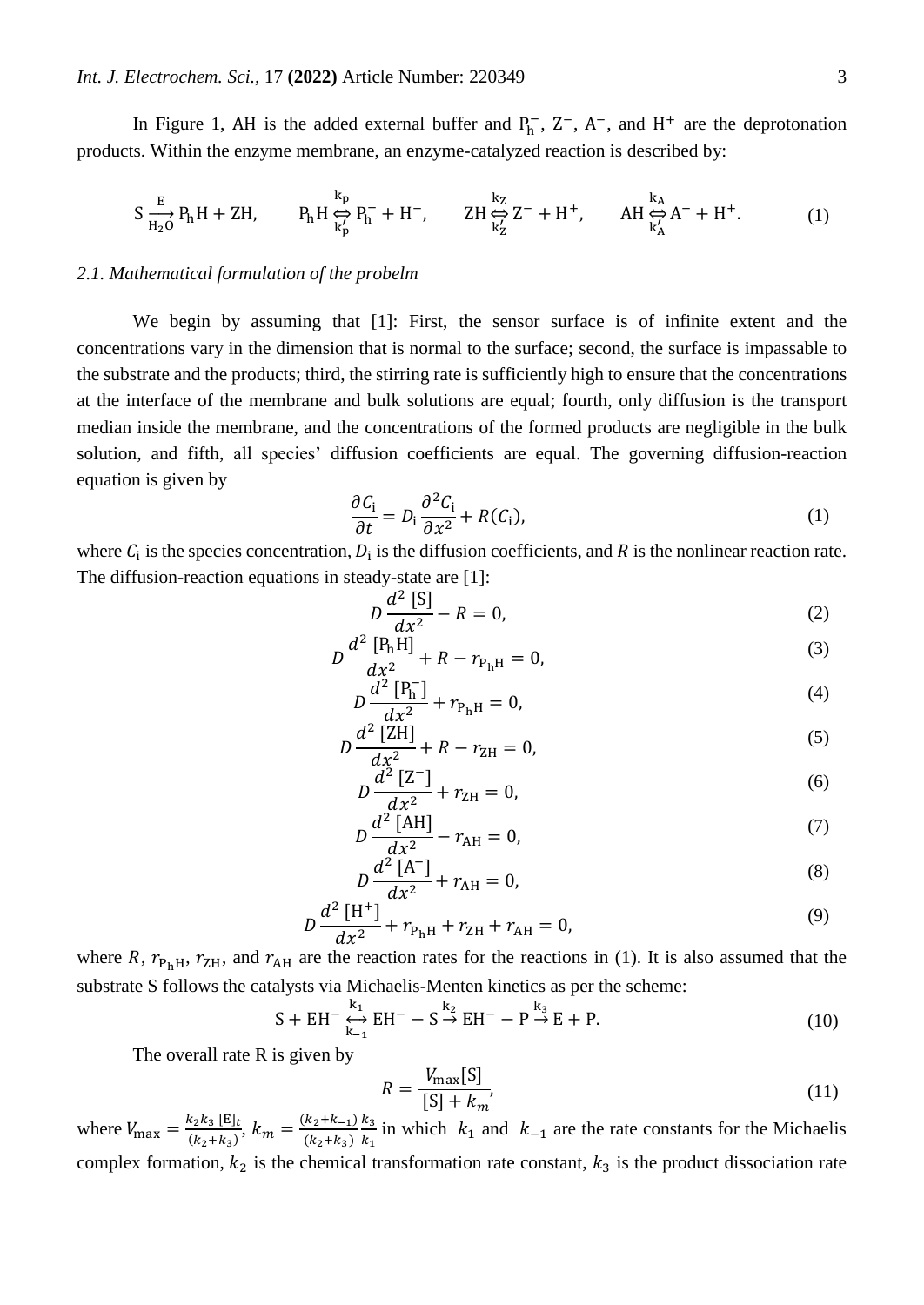In Figure 1, AH is the added external buffer and  $P_h^-$ ,  $Z^-$ ,  $A^-$ , and  $H^+$  are the deprotonation products. Within the enzyme membrane, an enzyme-catalyzed reaction is described by:

$$
S\frac{E}{H_2O}P_hH + ZH, \qquad P_hH \underset{k'_p}{\Leftrightarrow} P_h^- + H^-, \qquad ZH \underset{k'_Z}{\Leftrightarrow} Z^- + H^+, \qquad AH \underset{k'_A}{\Leftrightarrow} A^- + H^+. \tag{1}
$$

#### *2.1. Mathematical formulation of the probelm*

We begin by assuming that [1]: First, the sensor surface is of infinite extent and the concentrations vary in the dimension that is normal to the surface; second, the surface is impassable to the substrate and the products; third, the stirring rate is sufficiently high to ensure that the concentrations at the interface of the membrane and bulk solutions are equal; fourth, only diffusion is the transport median inside the membrane, and the concentrations of the formed products are negligible in the bulk solution, and fifth, all species' diffusion coefficients are equal. The governing diffusion-reaction equation is given by

$$
\frac{\partial C_i}{\partial t} = D_i \frac{\partial^2 C_i}{\partial x^2} + R(C_i),\tag{1}
$$

where  $C_i$  is the species concentration,  $D_i$  is the diffusion coefficients, and R is the nonlinear reaction rate. The diffusion-reaction equations in steady-state are [1]:

$$
D\frac{d^2 [S]}{dx^2} - R = 0,
$$
 (2)

$$
D\frac{d^2 [P_h H]}{dx^2} + R - r_{P_h H} = 0,
$$
\n(3)

$$
D\frac{d^2 [P_h^-]}{dx^2} + r_{P_hH} = 0,
$$
\t(4)

$$
D\frac{d^2\text{ [ZH]}}{dx^2} + R - r_{\text{ZH}} = 0,\tag{5}
$$

$$
D\frac{d^2\left[Z^-\right]}{dx^2} + r_{\text{ZH}} = 0,\tag{6}
$$

$$
D\frac{d^2 \text{ [AH]}}{dx^2} - r_{\text{AH}} = 0,\tag{7}
$$

$$
D\frac{d^2 [A^-]}{dx^2} + r_{\text{AH}} = 0,\tag{8}
$$

$$
D\frac{d^2\left[H^+\right]}{dx^2} + r_{\text{PhH}} + r_{\text{ZH}} + r_{\text{AH}} = 0,\tag{9}
$$

where R,  $r_{P<sub>h</sub>H}$ ,  $r_{ZH}$ , and  $r_{AH}$  are the reaction rates for the reactions in (1). It is also assumed that the substrate S follows the catalysts via Michaelis-Menten kinetics as per the scheme:

$$
S + EH^{-} \underset{k_{-1}}{\overset{k_1}{\longleftrightarrow}} EH^{-} - S \overset{k_2}{\rightarrow} EH^{-} - P \overset{k_3}{\rightarrow} E + P. \tag{10}
$$

The overall rate R is given by

$$
R = \frac{V_{\text{max}}[S]}{[S] + k_m},\tag{11}
$$

where  $V_{\text{max}} = \frac{k_2 k_3 [E]_t}{(k_2 + k_1)}$  $\frac{(k_2 k_3 \text{ [E]}_t)}{(k_2 + k_3)}, k_m = \frac{(k_2 + k_{-1})}{(k_2 + k_3)}$  $(k_2+k_3)$  $k_3$  $\frac{k_3}{k_1}$  in which  $k_1$  and  $k_{-1}$  are the rate constants for the Michaelis complex formation,  $k_2$  is the chemical transformation rate constant,  $k_3$  is the product dissociation rate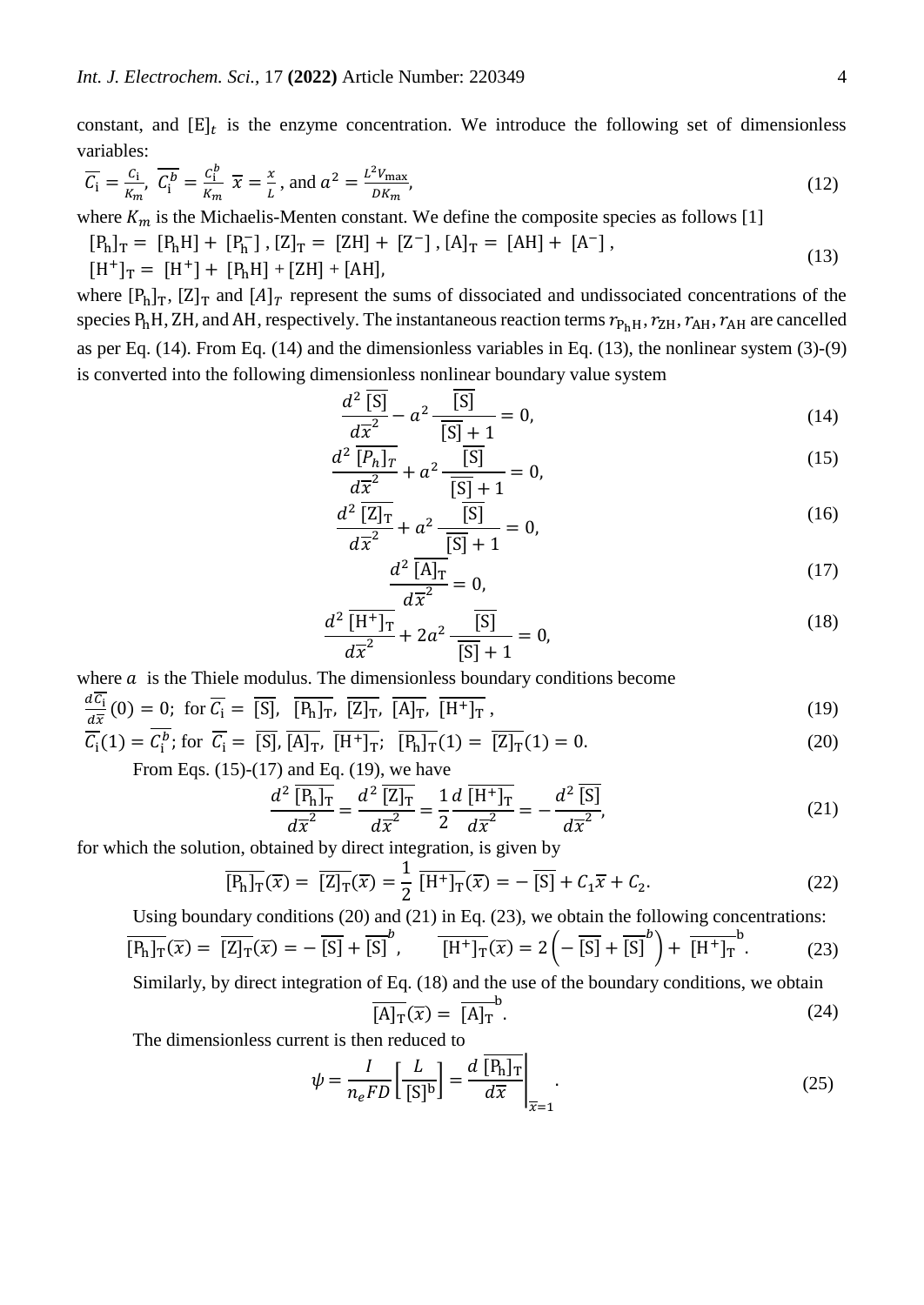constant, and  $[E]_t$  is the enzyme concentration. We introduce the following set of dimensionless variables:

$$
\overline{C_i} = \frac{c_i}{\kappa_m}, \ \overline{C_i^b} = \frac{c_i^b}{\kappa_m} \ \overline{x} = \frac{x}{L}, \text{ and } a^2 = \frac{L^2 V_{\text{max}}}{D K_m}, \tag{12}
$$

where  $K_m$  is the Michaelis-Menten constant. We define the composite species as follows [1]

- $[P_h]_T = [P_h H] + [P_h^-], [Z]_T = [ZH] + [Z^-], [A]_T = [AH] + [A^-],$ (13)
- $[H^+]_T = [H^+] + [P_hH] + [ZH] + [AH],$

where  $[P_h]_T$ ,  $[Z]_T$  and  $[A]_T$  represent the sums of dissociated and undissociated concentrations of the species  $P_h$ H, ZH, and AH, respectively. The instantaneous reaction terms  $r_{P_hH}$ ,  $r_{ZH}$ ,  $r_{AH}$ ,  $r_{AH}$  are cancelled as per Eq. (14). From Eq. (14) and the dimensionless variables in Eq. (13), the nonlinear system (3)-(9) is converted into the following dimensionless nonlinear boundary value system

$$
\frac{d^2\overline{[S]}}{d\overline{x}^2} - a^2 \frac{\overline{[S]}}{\overline{[S]} + 1} = 0,\tag{14}
$$

$$
\frac{d^2 \overline{[P_h]_T}}{d\overline{x}^2} + a^2 \frac{\overline{[S]}}{[\overline{S]} + 1} = 0,
$$
\n(15)

$$
\frac{d^2 \overline{[Z]_T}}{d\overline{x}^2} + a^2 \frac{\overline{[S]}}{[S] + 1} = 0,
$$
\n(16)

$$
\frac{d^2 \overline{[A]_T}}{d\overline{x}^2} = 0,\tag{17}
$$

$$
\frac{d^2 \overline{[H^+]_T}}{d\overline{x}^2} + 2a^2 \frac{\overline{[S]}}{[\overline{S]} + 1} = 0,
$$
\n(18)

where  $\alpha$  is the Thiele modulus. The dimensionless boundary conditions become

$$
\frac{dC_1}{d\overline{x}}(0) = 0; \text{ for } \overline{C_1} = \overline{[S]}, \overline{[P_h]_T}, \overline{[Z]_T}, \overline{[A]_T}, \overline{[H^+]_T}, \qquad (19)
$$

$$
\overline{\mathcal{C}_i}(1) = \mathcal{C}_i^b; \text{ for } \overline{\mathcal{C}_i} = \overline{[S]}, \overline{[A]_T}, \overline{[H^+]_T}; \overline{[P_h]_T}(1) = \overline{[Z]_T}(1) = 0. \tag{20}
$$
\n
$$
\text{From Eqs. (15)-(17) and Eq. (19) we have}
$$

From Eqs.  $(15)-(17)$  and Eq.  $(19)$ , we have

$$
\frac{d^2 \overline{[P_h]_T}}{d\overline{x}^2} = \frac{d^2 \overline{[Z]_T}}{d\overline{x}^2} = \frac{1}{2} \frac{d \overline{[H^+]_T}}{d\overline{x}^2} = -\frac{d^2 \overline{[S]}}{d\overline{x}^2},\tag{21}
$$

for which the solution, obtained by direct integration, is given by

$$
\overline{[P_h]_T}(\overline{x}) = \overline{[Z]_T}(\overline{x}) = \frac{1}{2} \overline{[H^+]_T}(\overline{x}) = -\overline{[S]} + C_1 \overline{x} + C_2.
$$
 (22)

Using boundary conditions (20) and (21) in Eq. (23), we obtain the following concentrations:

$$
\overline{[P_h]_T}(\overline{x}) = \overline{[Z]_T}(\overline{x}) = -\overline{[S]} + \overline{[S]}^b, \qquad \overline{[H^+]_T}(\overline{x}) = 2\left(-\overline{[S]} + \overline{[S]}^b\right) + \overline{[H^+]_T}^b. \tag{23}
$$

Similarly, by direct integration of Eq. (18) and the use of the boundary conditions, we obtain b

$$
\overline{[A]_T}(\overline{x}) = \overline{[A]_T}^0.
$$
\n(24)

The dimensionless current is then reduced to

$$
\psi = \frac{I}{n_e F D} \left[ \frac{L}{[S]^b} \right] = \frac{d \overline{[P_h]_T}}{d \overline{x}} \Big|_{\overline{x} = 1}.
$$
\n(25)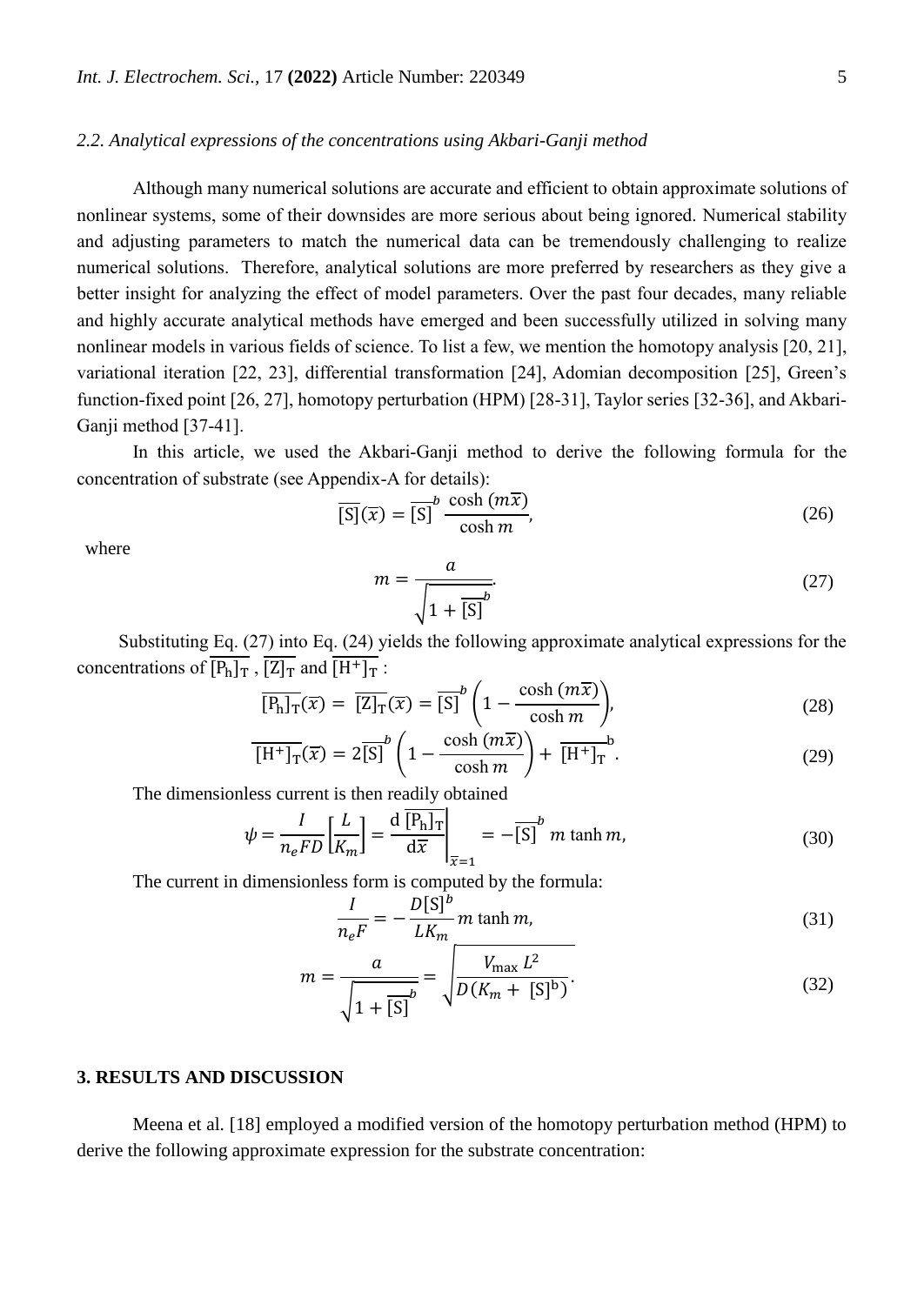#### *2.2. Analytical expressions of the concentrations using Akbari-Ganji method*

Although many numerical solutions are accurate and efficient to obtain approximate solutions of nonlinear systems, some of their downsides are more serious about being ignored. Numerical stability and adjusting parameters to match the numerical data can be tremendously challenging to realize numerical solutions. Therefore, analytical solutions are more preferred by researchers as they give a better insight for analyzing the effect of model parameters. Over the past four decades, many reliable and highly accurate analytical methods have emerged and been successfully utilized in solving many nonlinear models in various fields of science. To list a few, we mention the homotopy analysis [20, 21], variational iteration [22, 23], differential transformation [24], Adomian decomposition [25], Green's function-fixed point [26, 27], homotopy perturbation (HPM) [28-31], Taylor series [32-36], and Akbari-Ganji method [37-41].

In this article, we used the Akbari-Ganji method to derive the following formula for the concentration of substrate (see Appendix-A for details):

$$
\overline{[S]}(\overline{x}) = \overline{[S]}^{b} \frac{\cosh(m\overline{x})}{\cosh m},
$$
\n(26)

where

$$
m = \frac{a}{\sqrt{1 + \overline{[S]}}^b}.
$$
\n(27)

Substituting Eq. (27) into Eq. (24) yields the following approximate analytical expressions for the concentrations of  $\overline{[P_h]_T}$ ,  $\overline{[Z]_T}$  and  $\overline{[H^+]_T}$ :

$$
\overline{[P_h]_T}(\overline{x}) = \overline{[Z]_T}(\overline{x}) = \overline{[S]}^b \left(1 - \frac{\cosh(m\overline{x})}{\cosh m}\right),\tag{28}
$$

$$
\overline{\left[H^+\right]_T}(\overline{x}) = 2\overline{\left[S\right]}^b \left(1 - \frac{\cosh\left(m\overline{x}\right)}{\cosh m}\right) + \overline{\left[H^+\right]_T}^b. \tag{29}
$$

The dimensionless current is then readily obtained

$$
\psi = \frac{I}{n_e F D} \left[ \frac{L}{K_m} \right] = \frac{d \left[ P_h \right]_T}{d \overline{x}} \bigg|_{\overline{x} = 1} = -\overline{\left[ S \right]}^b \ m \tanh m,
$$
\n(30)

The current in dimensionless form is computed by the formula:

$$
\frac{I}{n_e F} = -\frac{D[S]^b}{LK_m} m \tanh m,
$$
\n(31)

$$
m = \frac{a}{\sqrt{1 + [S]}} = \sqrt{\frac{V_{\text{max}} L^2}{D(K_m + [S]^b)}}.
$$
\n(32)

#### **3. RESULTS AND DISCUSSION**

Meena et al. [18] employed a modified version of the homotopy perturbation method (HPM) to derive the following approximate expression for the substrate concentration: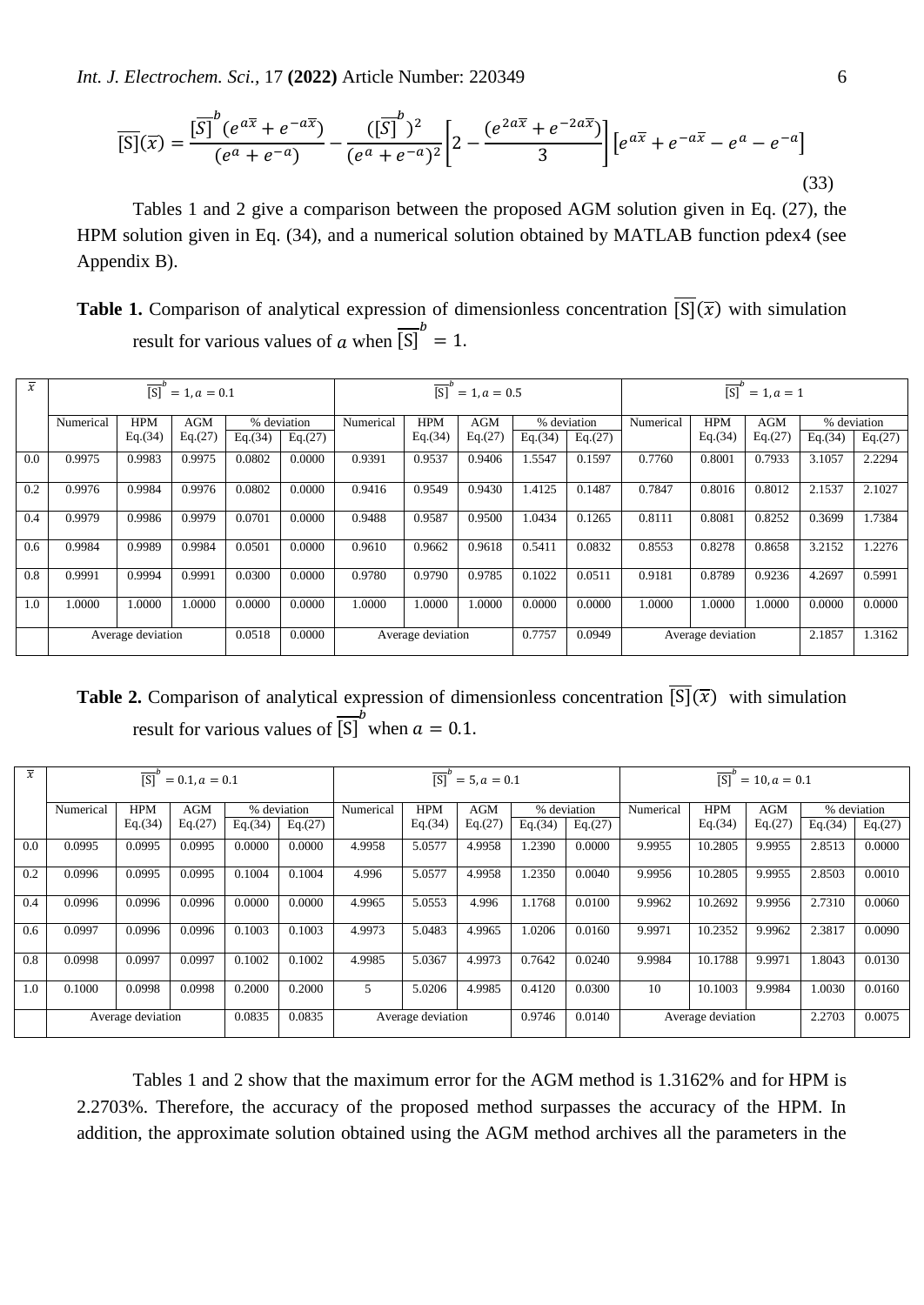*Int. J. Electrochem. Sci.,* 17 **(2022)** Article Number: 220349 6

$$
\overline{[S]}(\overline{x}) = \frac{[\overline{S}]}{(e^a + e^{-a\overline{x}})} - \frac{([\overline{S}]}{(e^a + e^{-a})^2} \left[2 - \frac{(e^{2a\overline{x}} + e^{-2a\overline{x}})}{3}\right] \left[e^{a\overline{x}} + e^{-a\overline{x}} - e^a - e^{-a}\right]
$$
\n(33)

Tables 1 and 2 give a comparison between the proposed AGM solution given in Eq. (27), the HPM solution given in Eq. (34), and a numerical solution obtained by MATLAB function pdex4 (see Appendix B).

**Table 1.** Comparison of analytical expression of dimensionless concentration  $\overline{[S]}(\overline{x})$  with simulation result for various values of  $\alpha$  when  $\overline{[S]}^b = 1$ .

| $\overline{x}$ | $-h$<br>[S]<br>$= 1, a = 0.1$ |            |            |         | [S]<br>$= 1, a = 0.5$ |                   |            |            | — t<br>[S]<br>$= 1, a = 1$ |                   |           |            |            |         |             |
|----------------|-------------------------------|------------|------------|---------|-----------------------|-------------------|------------|------------|----------------------------|-------------------|-----------|------------|------------|---------|-------------|
|                | Numerical                     | <b>HPM</b> | <b>AGM</b> |         | % deviation           | Numerical         | <b>HPM</b> | <b>AGM</b> |                            | % deviation       | Numerical | <b>HPM</b> | <b>AGM</b> |         | % deviation |
|                |                               | Eq.(34)    | Eq.(27)    | Eq.(34) | Eq.(27)               |                   | Eq.(34)    | Eq.(27)    | Eq.(34)                    | Eq.(27)           |           | Eq.(34)    | Eq.(27)    | Eq.(34) | Eq.(27)     |
| 0.0            | 0.9975                        | 0.9983     | 0.9975     | 0.0802  | 0.0000                | 0.9391            | 0.9537     | 0.9406     | 1.5547                     | 0.1597            | 0.7760    | 0.8001     | 0.7933     | 3.1057  | 2.2294      |
| 0.2            | 0.9976                        | 0.9984     | 0.9976     | 0.0802  | 0.0000                | 0.9416            | 0.9549     | 0.9430     | 1.4125                     | 0.1487            | 0.7847    | 0.8016     | 0.8012     | 2.1537  | 2.1027      |
| 0.4            | 0.9979                        | 0.9986     | 0.9979     | 0.0701  | 0.0000                | 0.9488            | 0.9587     | 0.9500     | 1.0434                     | 0.1265            | 0.8111    | 0.8081     | 0.8252     | 0.3699  | 1.7384      |
| 0.6            | 0.9984                        | 0.9989     | 0.9984     | 0.0501  | 0.0000                | 0.9610            | 0.9662     | 0.9618     | 0.5411                     | 0.0832            | 0.8553    | 0.8278     | 0.8658     | 3.2152  | 1.2276      |
| 0.8            | 0.9991                        | 0.9994     | 0.9991     | 0.0300  | 0.0000                | 0.9780            | 0.9790     | 0.9785     | 0.1022                     | 0.0511            | 0.9181    | 0.8789     | 0.9236     | 4.2697  | 0.5991      |
| 1.0            | .0000                         | 1.0000     | .0000      | 0.0000  | 0.0000                | 1.0000            | 1.0000     | 1.0000     | 0.0000                     | 0.0000            | 1.0000    | 1.0000     | 0000       | 0.0000  | 0.0000      |
|                | Average deviation             |            |            | 0.0518  | 0.0000                | Average deviation |            | 0.7757     | 0.0949                     | Average deviation |           | 2.1857     | 1.3162     |         |             |

**Table 2.** Comparison of analytical expression of dimensionless concentration  $\overline{S}(\overline{x})$  with simulation result for various values of  $\overline{[S]}^b$  when  $a = 0.1$ .

| $\overline{x}$ | $\overline{[S]}^b$<br>$= 0.1, a = 0.1$ |            |            |         |             | $-h$<br>[S]<br>$= 5, a = 0.1$ |            |            |         | $-h$<br>[S]<br>$= 10, a = 0.1$ |           |            |            |         |             |
|----------------|----------------------------------------|------------|------------|---------|-------------|-------------------------------|------------|------------|---------|--------------------------------|-----------|------------|------------|---------|-------------|
|                | Numerical                              | <b>HPM</b> | <b>AGM</b> |         | % deviation | Numerical                     | <b>HPM</b> | <b>AGM</b> |         | % deviation                    | Numerical | <b>HPM</b> | <b>AGM</b> |         | % deviation |
|                |                                        | Eq.(34)    | Eq.(27)    | Eq.(34) | Eq.(27)     |                               | Eq.(34)    | Eq.(27)    | Eq.(34) | Eq.(27)                        |           | Eq.(34)    | Eq.(27)    | Eq.(34) | Eq.(27)     |
| 0.0            | 0.0995                                 | 0.0995     | 0.0995     | 0.0000  | 0.0000      | 4.9958                        | 5.0577     | 4.9958     | 1.2390  | 0.0000                         | 9.9955    | 10.2805    | 9.9955     | 2.8513  | 0.0000      |
| 0.2            | 0.0996                                 | 0.0995     | 0.0995     | 0.1004  | 0.1004      | 4.996                         | 5.0577     | 4.9958     | 1.2350  | 0.0040                         | 9.9956    | 10.2805    | 9.9955     | 2.8503  | 0.0010      |
| 0.4            | 0.0996                                 | 0.0996     | 0.0996     | 0.0000  | 0.0000      | 4.9965                        | 5.0553     | 4.996      | 1.1768  | 0.0100                         | 9.9962    | 10.2692    | 9.9956     | 2.7310  | 0.0060      |
| 0.6            | 0.0997                                 | 0.0996     | 0.0996     | 0.1003  | 0.1003      | 4.9973                        | 5.0483     | 4.9965     | 1.0206  | 0.0160                         | 9.9971    | 10.2352    | 9.9962     | 2.3817  | 0.0090      |
| 0.8            | 0.0998                                 | 0.0997     | 0.0997     | 0.1002  | 0.1002      | 4.9985                        | 5.0367     | 4.9973     | 0.7642  | 0.0240                         | 9.9984    | 10.1788    | 9.9971     | 1.8043  | 0.0130      |
| 1.0            | 0.1000                                 | 0.0998     | 0.0998     | 0.2000  | 0.2000      | 5                             | 5.0206     | 4.9985     | 0.4120  | 0.0300                         | 10        | 10.1003    | 9.9984     | 1.0030  | 0.0160      |
|                | Average deviation                      |            |            | 0.0835  | 0.0835      | Average deviation             |            | 0.9746     | 0.0140  | Average deviation              |           |            | 2.2703     | 0.0075  |             |

Tables 1 and 2 show that the maximum error for the AGM method is 1.3162% and for HPM is 2.2703%. Therefore, the accuracy of the proposed method surpasses the accuracy of the HPM. In addition, the approximate solution obtained using the AGM method archives all the parameters in the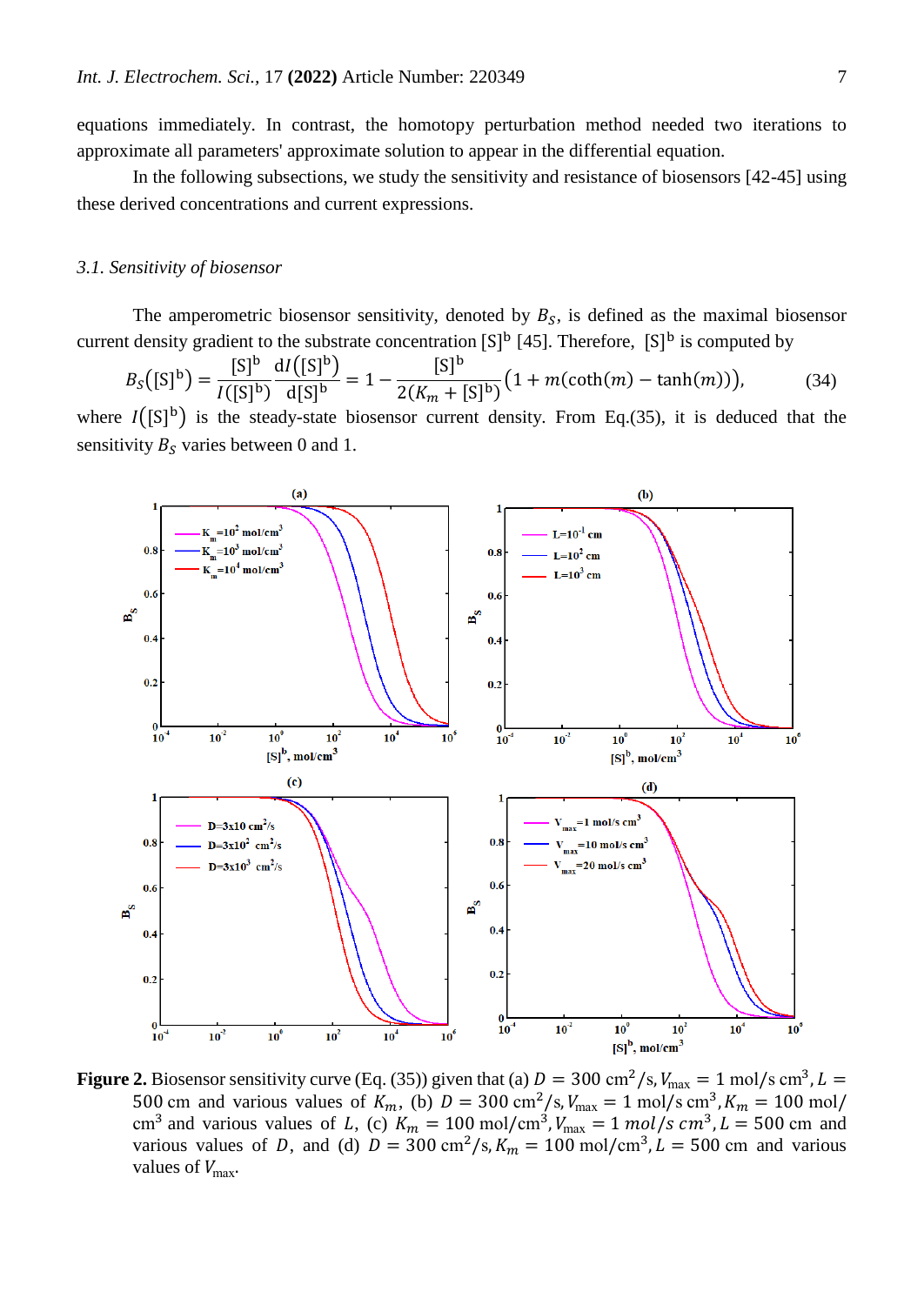In the following subsections, we study the sensitivity and resistance of biosensors [42-45] using these derived concentrations and current expressions.

#### *3.1. Sensitivity of biosensor*

The amperometric biosensor sensitivity, denoted by  $B_s$ , is defined as the maximal biosensor current density gradient to the substrate concentration  $[S]^b$  [45]. Therefore,  $[S]^b$  is computed by

$$
B_S([S]^b) = \frac{[S]^b}{I([S]^b)} \frac{dI([S]^b)}{d[S]^b} = 1 - \frac{[S]^b}{2(K_m + [S]^b)} \left(1 + m(\coth(m) - \tanh(m))\right),\tag{34}
$$

where  $I([S]^b)$  is the steady-state biosensor current density. From Eq.(35), it is deduced that the sensitivity  $B_s$  varies between 0 and 1.



**Figure 2.** Biosensor sensitivity curve (Eq. (35)) given that (a)  $D = 300 \text{ cm}^2/\text{s}$ ,  $V_{\text{max}} = 1 \text{ mol/s cm}^3$ ,  $L =$ 500 cm and various values of  $K_m$ , (b)  $D = 300 \text{ cm}^2/\text{s}$ ,  $V_{\text{max}} = 1 \text{ mol/s cm}^3$ ,  $K_m = 100 \text{ mol/s}$ cm<sup>3</sup> and various values of L, (c)  $K_m = 100 \text{ mol/cm}^3$ ,  $V_{\text{max}} = 1 \text{ mol/s cm}^3$ ,  $L = 500 \text{ cm}$  and various values of D, and (d)  $D = 300 \text{ cm}^2/\text{s}$ ,  $K_m = 100 \text{ mol/cm}^3$ ,  $L = 500 \text{ cm}$  and various values of  $V_{\text{max}}$ .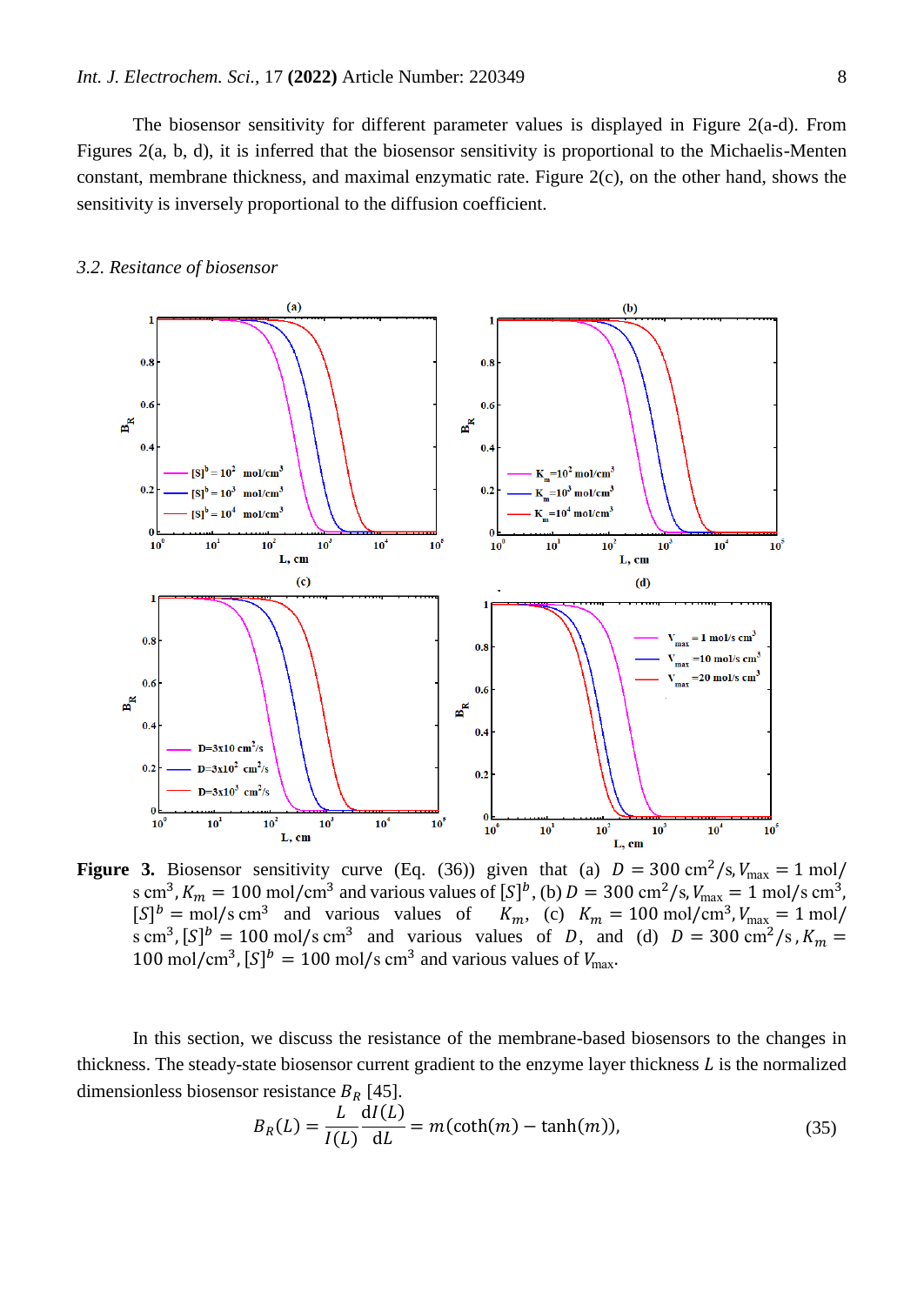The biosensor sensitivity for different parameter values is displayed in Figure 2(a-d). From Figures 2(a, b, d), it is inferred that the biosensor sensitivity is proportional to the Michaelis-Menten constant, membrane thickness, and maximal enzymatic rate. Figure 2(c), on the other hand, shows the sensitivity is inversely proportional to the diffusion coefficient.

#### *3.2. Resitance of biosensor*



**Figure 3.** Biosensor sensitivity curve (Eq. (36)) given that (a)  $D = 300 \text{ cm}^2/\text{s}$ ,  $V_{\text{max}} = 1 \text{ mol/s}$ s cm<sup>3</sup>,  $K_m = 100$  mol/cm<sup>3</sup> and various values of  $[S]^b$ , (b)  $D = 300$  cm<sup>2</sup>/s,  $V_{\text{max}} = 1$  mol/s cm<sup>3</sup>,  $[S]^b = \text{mol/s cm}^3$  and various values of  $K_m$ , (c)  $K_m = 100 \text{ mol/cm}^3$ ,  $V_{\text{max}} = 1 \text{ mol/s}$ s cm<sup>3</sup>,  $[S]^b = 100$  mol/s cm<sup>3</sup> and various values of D, and (d)  $D = 300$  cm<sup>2</sup>/s,  $K_m =$ 100 mol/cm<sup>3</sup>,  $[S]^b = 100$  mol/s cm<sup>3</sup> and various values of  $V_{\text{max}}$ .

In this section, we discuss the resistance of the membrane-based biosensors to the changes in thickness. The steady-state biosensor current gradient to the enzyme layer thickness  $L$  is the normalized dimensionless biosensor resistance  $B_R$  [45].

$$
B_R(L) = \frac{L}{I(L)} \frac{dI(L)}{dL} = m(\coth(m) - \tanh(m)),\tag{35}
$$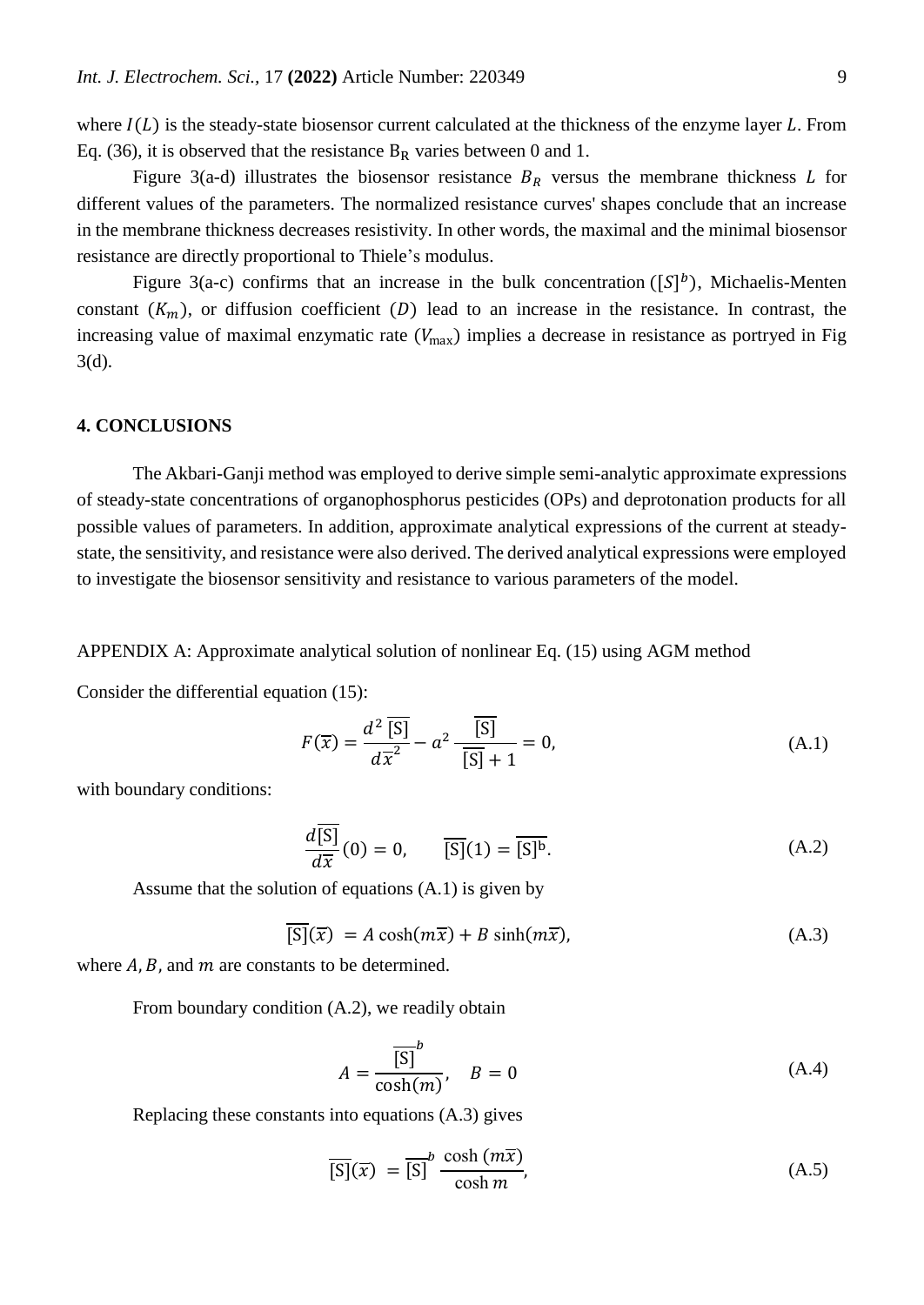where  $I(L)$  is the steady-state biosensor current calculated at the thickness of the enzyme layer L. From Eq. (36), it is observed that the resistance  $B_R$  varies between 0 and 1.

Figure 3(a-d) illustrates the biosensor resistance  $B_R$  versus the membrane thickness L for different values of the parameters. The normalized resistance curves' shapes conclude that an increase in the membrane thickness decreases resistivity. In other words, the maximal and the minimal biosensor resistance are directly proportional to Thiele's modulus.

Figure 3(a-c) confirms that an increase in the bulk concentration ( $[S]^b$ ), Michaelis-Menten constant  $(K_m)$ , or diffusion coefficient  $(D)$  lead to an increase in the resistance. In contrast, the increasing value of maximal enzymatic rate  $(V_{\text{max}})$  implies a decrease in resistance as portryed in Fig 3(d).

#### **4. CONCLUSIONS**

The Akbari-Ganji method was employed to derive simple semi-analytic approximate expressions of steady-state concentrations of organophosphorus pesticides (OPs) and deprotonation products for all possible values of parameters. In addition, approximate analytical expressions of the current at steadystate, the sensitivity, and resistance were also derived. The derived analytical expressions were employed to investigate the biosensor sensitivity and resistance to various parameters of the model.

APPENDIX A: Approximate analytical solution of nonlinear Eq. (15) using AGM method

Consider the differential equation (15):

$$
F(\overline{x}) = \frac{d^2 \overline{[S]}}{d\overline{x}^2} - a^2 \frac{\overline{[S]}}{\overline{[S]} + 1} = 0,
$$
 (A.1)

with boundary conditions:

$$
\frac{d\overline{[S]}}{d\overline{x}}(0) = 0, \qquad \overline{[S]}(1) = \overline{[S]^b}.
$$
\n(A.2)

Assume that the solution of equations (A.1) is given by

$$
[S](\overline{x}) = A \cosh(m\overline{x}) + B \sinh(m\overline{x}), \tag{A.3}
$$

where  $A$ ,  $B$ , and  $m$  are constants to be determined.

From boundary condition (A.2), we readily obtain

$$
A = \frac{\overline{[S]}^b}{\cosh(m)}, \quad B = 0 \tag{A.4}
$$

Replacing these constants into equations (A.3) gives

$$
\overline{[S]}(\overline{x}) = \overline{[S]}^{b} \frac{\cosh(m\overline{x})}{\cosh m},
$$
\n(A.5)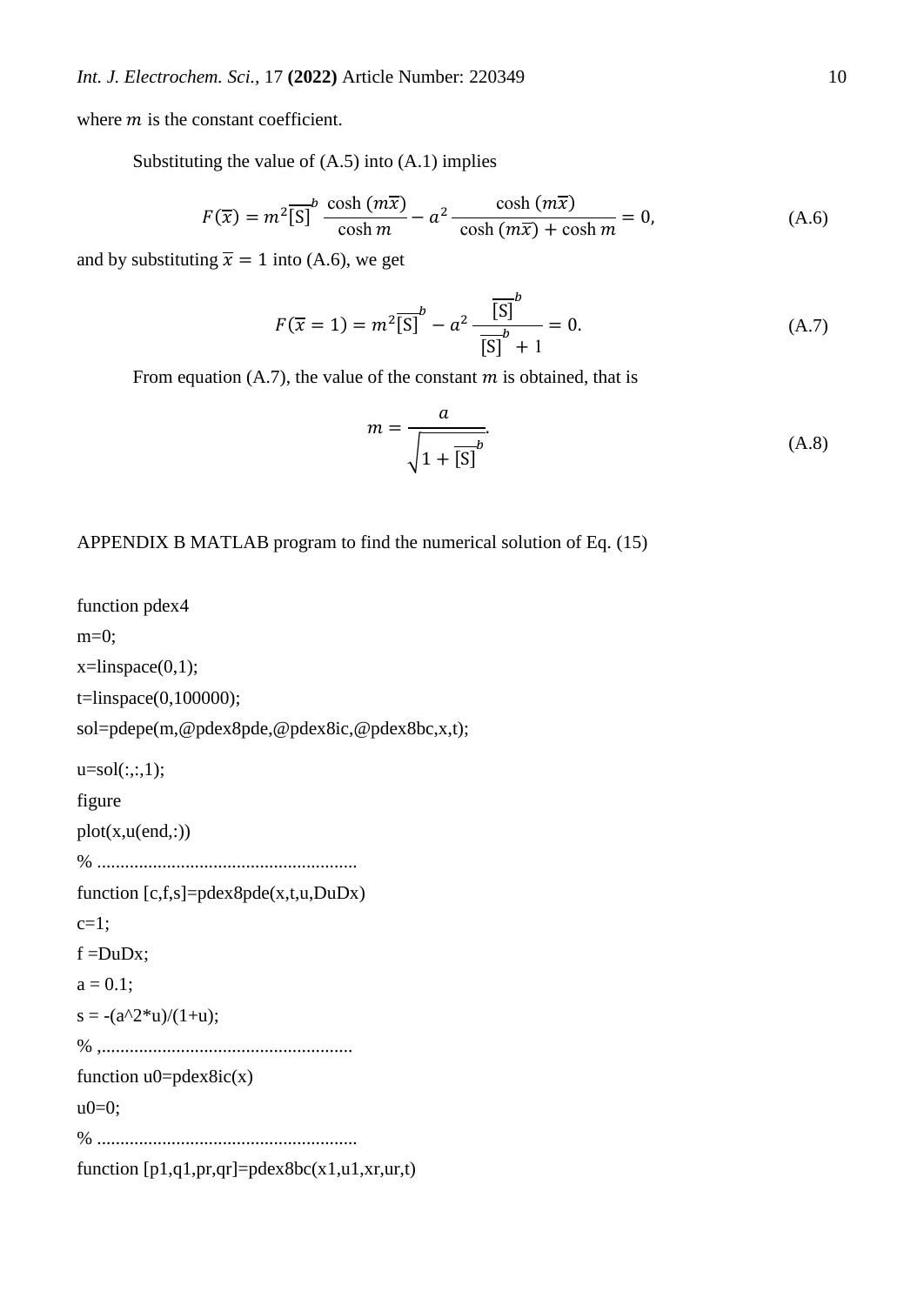where  $m$  is the constant coefficient.

Substituting the value of  $(A.5)$  into  $(A.1)$  implies

$$
F(\overline{x}) = m^2 \overline{[S]}^b \frac{\cosh(m\overline{x})}{\cosh m} - a^2 \frac{\cosh(m\overline{x})}{\cosh(m\overline{x}) + \cosh m} = 0,
$$
 (A.6)

and by substituting  $\bar{x} = 1$  into (A.6), we get

$$
F(\overline{x} = 1) = m^2 \overline{[S]}^b - a^2 \frac{\overline{[S]}^b}{\overline{[S]}^b + 1} = 0.
$$
 (A.7)

From equation (A.7), the value of the constant  $m$  is obtained, that is

$$
m = \frac{a}{\sqrt{1 + [S]^b}}.\tag{A.8}
$$

## APPENDIX B MATLAB program to find the numerical solution of Eq. (15)

```
function pdex4
m=0;
x=linspace(0,1);t=linspace(0,100000);
sol=pdepe(m,@pdex8pde,@pdex8ic,@pdex8bc,x,t);
u=sol(:,:,1);figure
plot(x, u(end,:))% ........................................................
function [c,f,s]=pdex8pde(x,t,u,DuDx)
c=1;f = DuDx:
a = 0.1;
s = -(a^2^*u)/(1+u);% ,......................................................
function u0 = p \cdot d \cdot x \cdot \cdotu0=0;
% ........................................................
function [p1,q1,pr,qr] = p \cdot \text{dex} \cdot \text{Bbc}(x1,u1,xr,ur,t)
```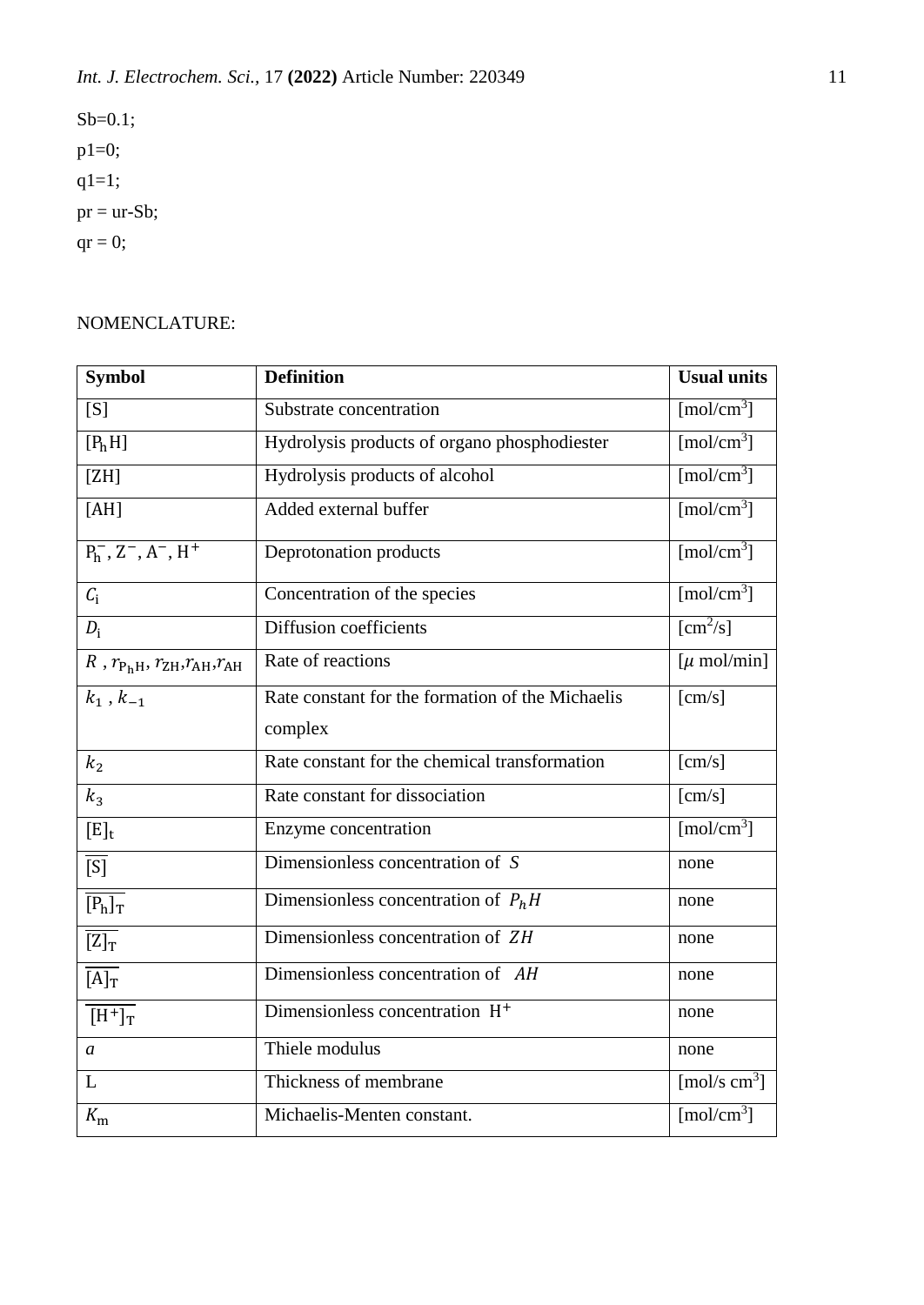$Sb=0.1;$ p1=0; q1=1;  $pr = ur-Sb;$  $qr = 0;$ 

# NOMENCLATURE:

| <b>Symbol</b>                                                     | <b>Definition</b>                                | <b>Usual units</b>              |
|-------------------------------------------------------------------|--------------------------------------------------|---------------------------------|
| [S]                                                               | Substrate concentration                          | $\lceil \text{mol/cm}^3 \rceil$ |
| [P <sub>h</sub> H]                                                | Hydrolysis products of organo phosphodiester     | [mol/cm <sup>3</sup> ]          |
| [ZH]                                                              | Hydrolysis products of alcohol                   | $\lceil \text{mol/cm}^3 \rceil$ |
| [AH]                                                              | Added external buffer                            | [mol/cm <sup>3</sup> ]          |
| $P_h^-$ , $Z^-$ , $A^-$ , $H^+$                                   | Deprotonation products                           | [mol/cm <sup>3</sup> ]          |
| $C_i$                                                             | Concentration of the species                     | $\lceil \text{mol/cm}^3 \rceil$ |
| $D_i$                                                             | Diffusion coefficients                           | $\lfloor$ cm <sup>2</sup> /s]   |
| $R$ , $r_{\rm P_hH}$ , $r_{\rm ZH}$ , $r_{\rm AH}$ , $r_{\rm AH}$ | Rate of reactions                                | $[\mu \text{ mol/min}]$         |
| $\overline{k}_1$ , $k_{-1}$                                       | Rate constant for the formation of the Michaelis | [cm/s]                          |
|                                                                   | complex                                          |                                 |
| k <sub>2</sub>                                                    | Rate constant for the chemical transformation    | [cm/s]                          |
| $k_3$                                                             | Rate constant for dissociation                   | [cm/s]                          |
| $[E]_t$                                                           | Enzyme concentration                             | $\sqrt{\text{mol/cm}^3}$        |
| $\overline{[S]}$                                                  | Dimensionless concentration of S                 | none                            |
| $\overline{[P_h]_T}$                                              | Dimensionless concentration of $P_hH$            | none                            |
| $\overline{[Z]_T}$                                                | Dimensionless concentration of ZH                | none                            |
| $\overline{[A]_T}$                                                | Dimensionless concentration of AH                | none                            |
| $\overline{[H^+]}_T$                                              | Dimensionless concentration H <sup>+</sup>       | none                            |
| $\mathfrak a$                                                     | Thiele modulus                                   | none                            |
| L                                                                 | Thickness of membrane                            | [mol/s $cm3$ ]                  |
| $K_{\rm m}$                                                       | Michaelis-Menten constant.                       | $\lceil \text{mol/cm}^3 \rceil$ |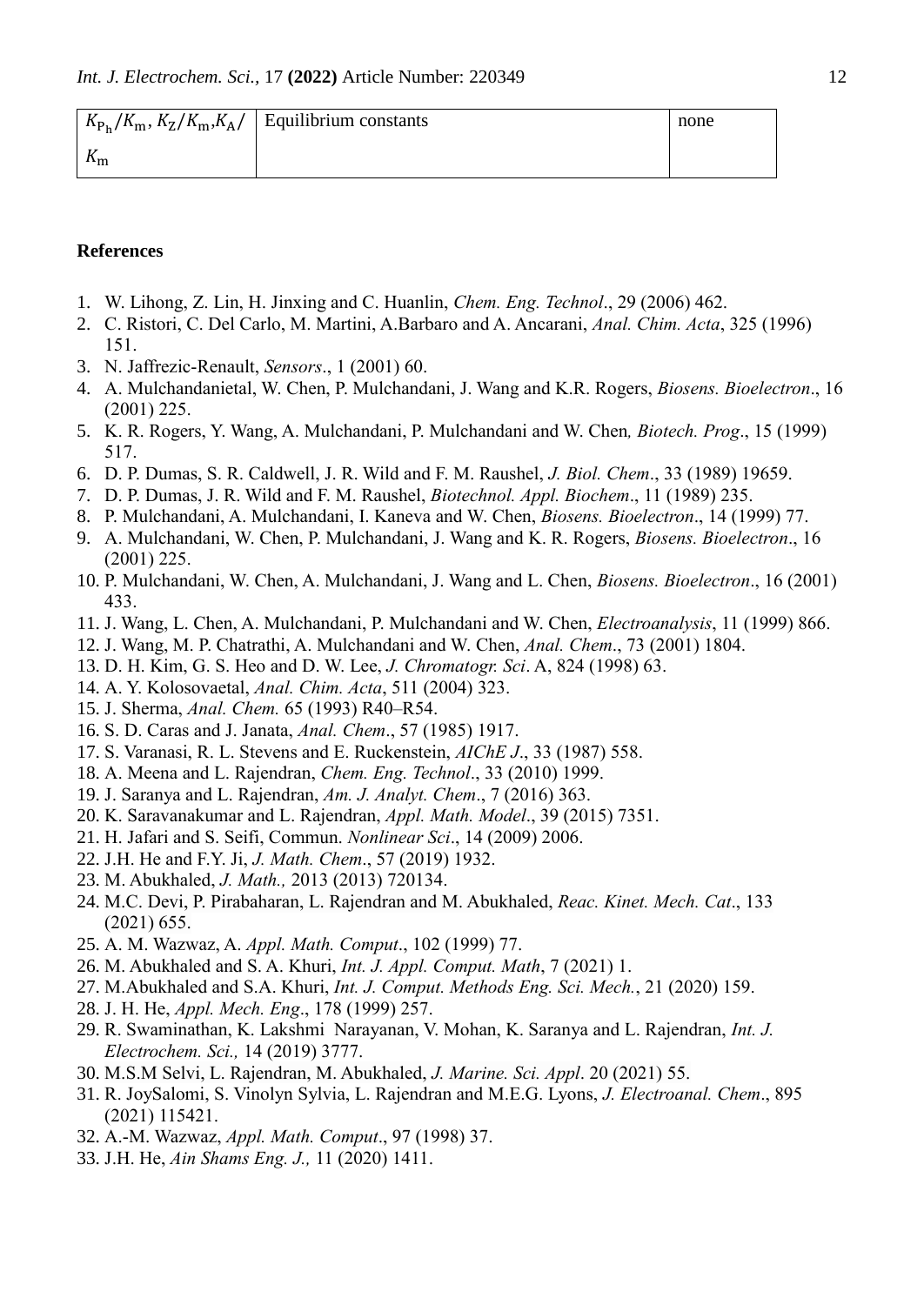|                           | $K_{P_h}/K_m$ , $K_Z/K_m$ , $K_A$ / Equilibrium constants | none |
|---------------------------|-----------------------------------------------------------|------|
| $\mathbf{n}_{\mathbf{m}}$ |                                                           |      |

### **References**

- 1. W. Lihong, Z. Lin, H. Jinxing and C. Huanlin, *Chem. Eng. Technol*., 29 (2006) 462.
- 2. C. Ristori, C. Del Carlo, M. Martini, A.Barbaro and A. Ancarani, *Anal. Chim. Acta*, 325 (1996) 151.
- 3. N. Jaffrezic-Renault, *Sensors*., 1 (2001) 60.
- 4. A. Mulchandanietal, W. Chen, P. Mulchandani, J. Wang and K.R. Rogers, *Biosens. Bioelectron*., 16 (2001) 225.
- 5. K. R. Rogers, Y. Wang, A. Mulchandani, P. Mulchandani and W. Chen*, Biotech. Prog*., 15 (1999) 517.
- 6. D. P. Dumas, S. R. Caldwell, J. R. Wild and F. M. Raushel, *J. Biol. Chem*., 33 (1989) 19659.
- 7. D. P. Dumas, J. R. Wild and F. M. Raushel, *Biotechnol. Appl. Biochem*., 11 (1989) 235.
- 8. P. Mulchandani, A. Mulchandani, I. Kaneva and W. Chen, *Biosens. Bioelectron*., 14 (1999) 77.
- 9. A. Mulchandani, W. Chen, P. Mulchandani, J. Wang and K. R. Rogers, *Biosens. Bioelectron*., 16 (2001) 225.
- 10. P. Mulchandani, W. Chen, A. Mulchandani, J. Wang and L. Chen, *Biosens. Bioelectron*., 16 (2001) 433.
- 11. J. Wang, L. Chen, A. Mulchandani, P. Mulchandani and W. Chen, *Electroanalysis*, 11 (1999) 866.
- 12. J. Wang, M. P. Chatrathi, A. Mulchandani and W. Chen, *Anal. Chem*., 73 (2001) 1804.
- 13. D. H. Kim, G. S. Heo and D. W. Lee, *J. Chromatogr. Sci*. A, 824 (1998) 63.
- 14. A. Y. Kolosovaetal, *Anal. Chim. Acta*, 511 (2004) 323.
- 15. J. Sherma, *Anal. Chem.* 65 (1993) R40–R54.
- 16. S. D. Caras and J. Janata, *Anal. Chem*., 57 (1985) 1917.
- 17. S. Varanasi, R. L. Stevens and E. Ruckenstein, *AIChE J*., 33 (1987) 558.
- 18. A. Meena and L. Rajendran, *Chem. Eng. Technol*., 33 (2010) 1999.
- 19. J. Saranya and L. Rajendran, *Am. J. Analyt. Chem*., 7 (2016) 363.
- 20. K. Saravanakumar and L. Rajendran, *Appl. Math. Model*., 39 (2015) 7351.
- 21. H. Jafari and S. Seifi, Commun. *Nonlinear Sci*., 14 (2009) 2006.
- 22. J.H. He and F.Y. Ji, *J. Math. Chem*., 57 (2019) 1932.
- 23. M. Abukhaled, *J. Math.,* 2013 (2013) 720134.
- 24. M.C. Devi, P. Pirabaharan, L. Rajendran and M. Abukhaled, *Reac. Kinet. Mech. Cat*., 133 (2021) 655.
- 25. A. M. Wazwaz, A. *Appl. Math. Comput*., 102 (1999) 77.
- 26. M. Abukhaled and S. A. Khuri, *Int. J. Appl. Comput. Math*, 7 (2021) 1.
- 27. M.Abukhaled and S.A. Khuri, *Int. J. Comput. Methods Eng. Sci. Mech.*, 21 (2020) 159.
- 28. J. H. He, *Appl. Mech. Eng*., 178 (1999) 257.
- 29. R. Swaminathan, K. Lakshmi Narayanan, V. Mohan, K. Saranya and L. Rajendran, *Int. J. Electrochem. Sci.,* 14 (2019) 3777.
- 30. M.S.M Selvi, L. Rajendran, M. Abukhaled, *J. Marine. Sci. Appl*. 20 (2021) 55.
- 31. R. JoySalomi, S. Vinolyn Sylvia, L. Rajendran and M.E.G. Lyons, *J. Electroanal. Chem*., 895 (2021) 115421.
- 32. A.-M. Wazwaz, *Appl. Math. Comput*., 97 (1998) 37.
- 33. J.H. He, *Ain Shams Eng. J.,* 11 (2020) 1411.